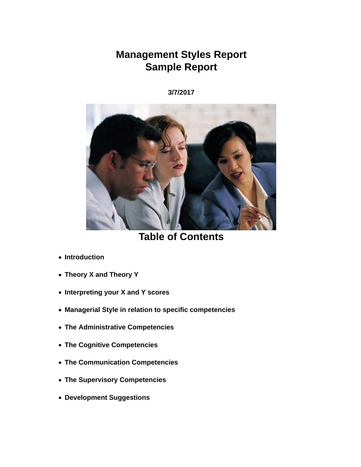# **Management Styles Report Sample Report**

**3/7/2017**



**Table of Contents**

- **Introduction**
- **Theory X and Theory Y**
- **Interpreting your X and Y scores**
- **Managerial Style in relation to specific competencies**
- **The Administrative Competencies**
- **The Cognitive Competencies**
- **The Communication Competencies**
- **The Supervisory Competencies**
- **Development Suggestions**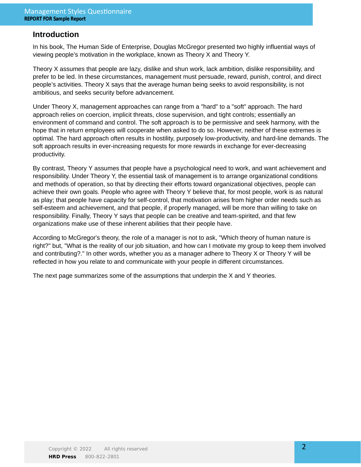### **Introduction**

In his book, The Human Side of Enterprise, Douglas McGregor presented two highly influential ways of viewing people's motivation in the workplace, known as Theory X and Theory Y.

Theory X assumes that people are lazy, dislike and shun work, lack ambition, dislike responsibility, and prefer to be led. In these circumstances, management must persuade, reward, punish, control, and direct people's activities. Theory X says that the average human being seeks to avoid responsibility, is not ambitious, and seeks security before advancement.

Under Theory X, management approaches can range from a "hard" to a "soft" approach. The hard approach relies on coercion, implicit threats, close supervision, and tight controls; essentially an environment of command and control. The soft approach is to be permissive and seek harmony, with the hope that in return employees will cooperate when asked to do so. However, neither of these extremes is optimal. The hard approach often results in hostility, purposely low-productivity, and hard-line demands. The soft approach results in ever-increasing requests for more rewards in exchange for ever-decreasing productivity.

By contrast, Theory Y assumes that people have a psychological need to work, and want achievement and responsibility. Under Theory Y, the essential task of management is to arrange organizational conditions and methods of operation, so that by directing their efforts toward organizational objectives, people can achieve their own goals. People who agree with Theory Y believe that, for most people, work is as natural as play; that people have capacity for self-control, that motivation arises from higher order needs such as self-esteem and achievement, and that people, if properly managed, will be more than willing to take on responsibility. Finally, Theory Y says that people can be creative and team-spirited, and that few organizations make use of these inherent abilities that their people have.

According to McGregor's theory, the role of a manager is not to ask, "Which theory of human nature is right?" but, "What is the reality of our job situation, and how can I motivate my group to keep them involved and contributing?." In other words, whether you as a manager adhere to Theory X or Theory Y will be reflected in how you relate to and communicate with your people in different circumstances.

The next page summarizes some of the assumptions that underpin the X and Y theories.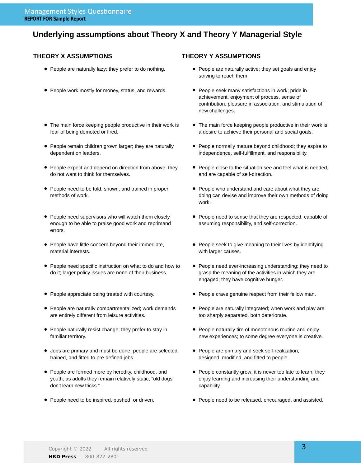### **Underlying assumptions about Theory X and Theory Y Managerial Style**

#### **THEORY X ASSUMPTIONS THEORY Y ASSUMPTIONS**

- 
- People work mostly for money, status, and rewards. People seek many satisfactions in work; pride in
- The main force keeping people productive in their work is fear of being demoted or fired.
- People remain children grown larger; they are naturally dependent on leaders.
- People expect and depend on direction from above; they do not want to think for themselves.
- People need to be told, shown, and trained in proper methods of work.
- People need supervisors who will watch them closely enough to be able to praise good work and reprimand errors.
- People have little concern beyond their immediate, material interests.
- People need specific instruction on what to do and how to do it; larger policy issues are none of their business.
- 
- People are naturally compartmentalized; work demands are entirely different from leisure activities.
- People naturally resist change; they prefer to stay in familiar territory.
- Jobs are primary and must be done; people are selected, trained, and fitted to pre-defined jobs.
- People are formed more by heredity, childhood, and youth; as adults they remain relatively static; "old dogs don't learn new tricks."
- 

- People are naturally lazy; they prefer to do nothing. • People are naturally active; they set goals and enjoy striving to reach them.
	- achievement, enjoyment of process, sense of contribution, pleasure in association, and stimulation of new challenges.
	- The main force keeping people productive in their work is a desire to achieve their personal and social goals.
	- People normally mature beyond childhood; they aspire to independence, self-fulfillment, and responsibility.
	- People close to the situation see and feel what is needed, and are capable of self-direction.
	- People who understand and care about what they are doing can devise and improve their own methods of doing work.
	- People need to sense that they are respected, capable of assuming responsibility, and self-correction.
	- People seek to give meaning to their lives by identifying with larger causes.
	- People need ever-increasing understanding; they need to grasp the meaning of the activities in which they are engaged; they have cognitive hunger.
- People appreciate being treated with courtesy. People crave genuine respect from their fellow man.
	- People are naturally integrated; when work and play are too sharply separated, both deteriorate.
	- People naturally tire of monotonous routine and enjoy new experiences; to some degree everyone is creative.
	- People are primary and seek self-realization; designed, modified, and fitted to people.
	- People constantly grow; it is never too late to learn; they enjoy learning and increasing their understanding and capability.
- People need to be inspired, pushed, or driven. People need to be released, encouraged, and assisted.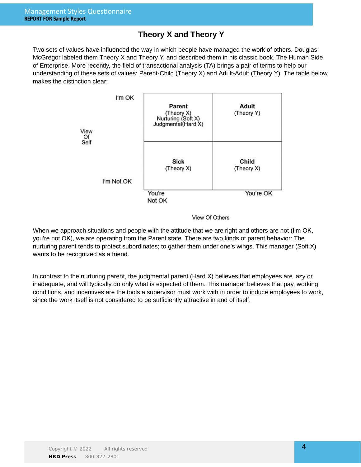## **Theory X and Theory Y**

Two sets of values have influenced the way in which people have managed the work of others. Douglas McGregor labeled them Theory X and Theory Y, and described them in his classic book, The Human Side of Enterprise. More recently, the field of transactional analysis (TA) brings a pair of terms to help our understanding of these sets of values: Parent-Child (Theory X) and Adult-Adult (Theory Y). The table below makes the distinction clear:



#### View Of Others

When we approach situations and people with the attitude that we are right and others are not (I'm OK, you're not OK), we are operating from the Parent state. There are two kinds of parent behavior: The nurturing parent tends to protect subordinates; to gather them under one's wings. This manager (Soft X) wants to be recognized as a friend.

In contrast to the nurturing parent, the judgmental parent (Hard X) believes that employees are lazy or inadequate, and will typically do only what is expected of them. This manager believes that pay, working conditions, and incentives are the tools a supervisor must work with in order to induce employees to work, since the work itself is not considered to be sufficiently attractive in and of itself.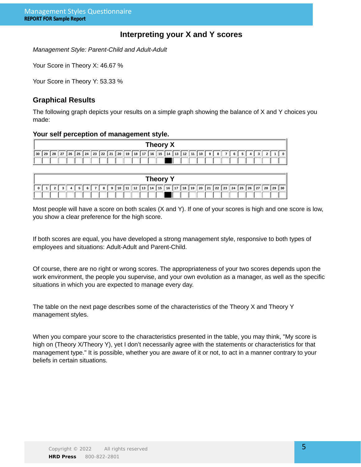### **Interpreting your X and Y scores**

Management Style: Parent-Child and Adult-Adult

Your Score in Theory X: 46.67 %

Your Score in Theory Y: 53.33 %

### **Graphical Results**

The following graph depicts your results on a simple graph showing the balance of X and Y choices you made:

#### **Your self perception of management style.**

|  |  |  |  |  |  |  | Theory X |  |  |                                                                                                                            |  |  |  |        |  |
|--|--|--|--|--|--|--|----------|--|--|----------------------------------------------------------------------------------------------------------------------------|--|--|--|--------|--|
|  |  |  |  |  |  |  |          |  |  | 30   29   28   27   26   25   24   23   22   21   20   19   18   17   16   15   14   13   12   11   10   9   8   7   6   5 |  |  |  | . 3121 |  |
|  |  |  |  |  |  |  |          |  |  |                                                                                                                            |  |  |  |        |  |

| <b>Theory</b> |  |  |  |  |  |  |     |  |  |  |  |  |  |  |                                                                    |  |  |  |  |  |  |
|---------------|--|--|--|--|--|--|-----|--|--|--|--|--|--|--|--------------------------------------------------------------------|--|--|--|--|--|--|
|               |  |  |  |  |  |  | 6 I |  |  |  |  |  |  |  | 8 9 10 11 12 13 14 15 16 17 18 19 20 21 22 23 24 25 26 27 28 29 30 |  |  |  |  |  |  |
|               |  |  |  |  |  |  |     |  |  |  |  |  |  |  |                                                                    |  |  |  |  |  |  |

Most people will have a score on both scales (X and Y). If one of your scores is high and one score is low, you show a clear preference for the high score.

If both scores are equal, you have developed a strong management style, responsive to both types of employees and situations: Adult-Adult and Parent-Child.

Of course, there are no right or wrong scores. The appropriateness of your two scores depends upon the work environment, the people you supervise, and your own evolution as a manager, as well as the specific situations in which you are expected to manage every day.

The table on the next page describes some of the characteristics of the Theory X and Theory Y management styles.

When you compare your score to the characteristics presented in the table, you may think, "My score is high on (Theory X/Theory Y), yet I don't necessarily agree with the statements or characteristics for that management type." It is possible, whether you are aware of it or not, to act in a manner contrary to your beliefs in certain situations.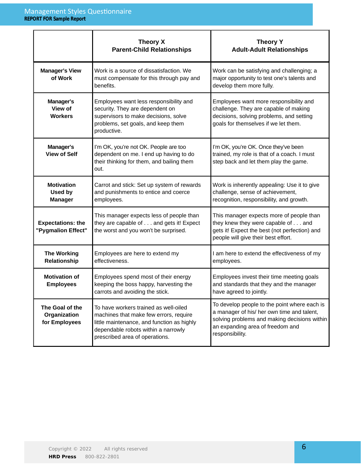|                                                  | <b>Theory X</b><br><b>Parent-Child Relationships</b>                                                                                                                                                   | <b>Theory Y</b><br><b>Adult-Adult Relationships</b>                                                                                                                                               |
|--------------------------------------------------|--------------------------------------------------------------------------------------------------------------------------------------------------------------------------------------------------------|---------------------------------------------------------------------------------------------------------------------------------------------------------------------------------------------------|
| <b>Manager's View</b><br>of Work                 | Work is a source of dissatisfaction. We<br>must compensate for this through pay and<br>benefits.                                                                                                       | Work can be satisfying and challenging; a<br>major opportunity to test one's talents and<br>develop them more fully.                                                                              |
| Manager's<br>View of<br><b>Workers</b>           | Employees want less responsibility and<br>security. They are dependent on<br>supervisors to make decisions, solve<br>problems, set goals, and keep them<br>productive.                                 | Employees want more responsibility and<br>challenge. They are capable of making<br>decisions, solving problems, and setting<br>goals for themselves if we let them.                               |
| Manager's<br><b>View of Self</b>                 | I'm OK, you're not OK. People are too<br>dependent on me. I end up having to do<br>their thinking for them, and bailing them<br>out.                                                                   | I'm OK, you're OK. Once they've been<br>trained, my role is that of a coach. I must<br>step back and let them play the game.                                                                      |
| <b>Motivation</b><br>Used by<br><b>Manager</b>   | Carrot and stick: Set up system of rewards<br>and punishments to entice and coerce<br>employees.                                                                                                       | Work is inherently appealing: Use it to give<br>challenge, sense of achievement,<br>recognition, responsibility, and growth.                                                                      |
| <b>Expectations: the</b><br>"Pygmalion Effect"   | This manager expects less of people than<br>they are capable of and gets it! Expect<br>the worst and you won't be surprised.                                                                           | This manager expects more of people than<br>they knew they were capable of and<br>gets it! Expect the best (not perfection) and<br>people will give their best effort.                            |
| <b>The Working</b><br>Relationship               | Employees are here to extend my<br>effectiveness.                                                                                                                                                      | I am here to extend the effectiveness of my<br>employees.                                                                                                                                         |
| <b>Motivation of</b><br><b>Employees</b>         | Employees spend most of their energy<br>keeping the boss happy, harvesting the<br>carrots and avoiding the stick.                                                                                      | Employees invest their time meeting goals<br>and standards that they and the manager<br>have agreed to jointly.                                                                                   |
| The Goal of the<br>Organization<br>for Employees | To have workers trained as well-oiled<br>machines that make few errors, require<br>little maintenance, and function as highly<br>dependable robots within a narrowly<br>prescribed area of operations. | To develop people to the point where each is<br>a manager of his/ her own time and talent,<br>solving problems and making decisions within<br>an expanding area of freedom and<br>responsibility. |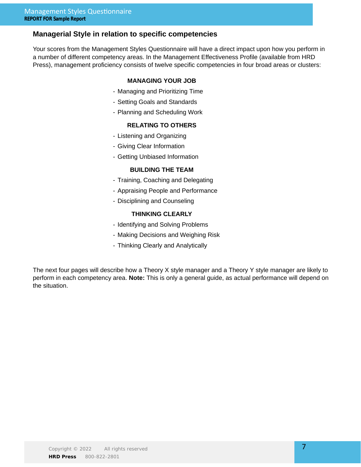### **Managerial Style in relation to specific competencies**

Your scores from the Management Styles Questionnaire will have a direct impact upon how you perform in a number of different competency areas. In the Management Effectiveness Profile (available from HRD Press), management proficiency consists of twelve specific competencies in four broad areas or clusters:

#### **MANAGING YOUR JOB**

- Managing and Prioritizing Time
- Setting Goals and Standards
- Planning and Scheduling Work

#### **RELATING TO OTHERS**

- Listening and Organizing
- Giving Clear Information
- Getting Unbiased Information

#### **BUILDING THE TEAM**

- Training, Coaching and Delegating
- Appraising People and Performance
- Disciplining and Counseling

#### **THINKING CLEARLY**

- Identifying and Solving Problems
- Making Decisions and Weighing Risk
- Thinking Clearly and Analytically

The next four pages will describe how a Theory X style manager and a Theory Y style manager are likely to perform in each competency area. **Note:** This is only a general guide, as actual performance will depend on the situation.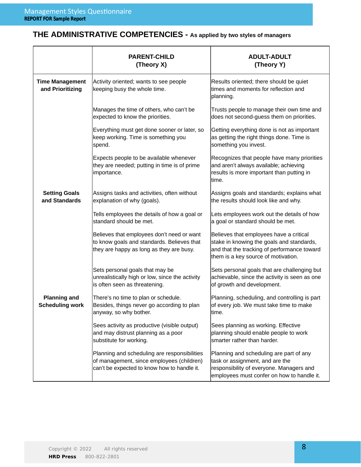# **THE ADMINISTRATIVE COMPETENCIES - As applied by two styles of managers**

|                                               | <b>PARENT-CHILD</b><br>(Theory X)                                                                                                        | ADULT-ADULT<br>(Theory Y)                                                                                                                                                  |
|-----------------------------------------------|------------------------------------------------------------------------------------------------------------------------------------------|----------------------------------------------------------------------------------------------------------------------------------------------------------------------------|
| <b>Time Management</b><br>and Prioritizing    | Activity oriented; wants to see people<br>keeping busy the whole time.                                                                   | Results oriented; there should be quiet<br>times and moments for reflection and<br>planning.                                                                               |
|                                               | Manages the time of others, who can't be<br>expected to know the priorities.                                                             | Trusts people to manage their own time and<br>does not second-guess them on priorities.                                                                                    |
|                                               | Everything must get done sooner or later, so<br>keep working. Time is something you<br>spend.                                            | Getting everything done is not as important<br>as getting the right things done. Time is<br>something you invest.                                                          |
|                                               | Expects people to be available whenever<br>they are needed; putting in time is of prime<br>importance.                                   | Recognizes that people have many priorities<br>and aren't always available; achieving<br>results is more important than putting in<br>time.                                |
| <b>Setting Goals</b><br>and Standards         | Assigns tasks and activities, often without<br>explanation of why (goals).                                                               | Assigns goals and standards; explains what<br>the results should look like and why.                                                                                        |
|                                               | Tells employees the details of how a goal or<br>standard should be met.                                                                  | Lets employees work out the details of how<br>a goal or standard should be met.                                                                                            |
|                                               | Believes that employees don't need or want<br>to know goals and standards. Believes that<br>they are happy as long as they are busy.     | Believes that employees have a critical<br>stake in knowing the goals and standards,<br>and that the tracking of performance toward<br>them is a key source of motivation. |
|                                               | Sets personal goals that may be<br>unrealistically high or low, since the activity<br>is often seen as threatening.                      | Sets personal goals that are challenging but<br>achievable, since the activity is seen as one<br>of growth and development.                                                |
| <b>Planning and</b><br><b>Scheduling work</b> | There's no time to plan or schedule.<br>Besides, things never go according to plan<br>anyway, so why bother.                             | Planning, scheduling, and controlling is part<br>of every job. We must take time to make<br>time.                                                                          |
|                                               | Sees activity as productive (visible output)<br>and may distrust planning as a poor<br>substitute for working.                           | Sees planning as working. Effective<br>planning should enable people to work<br>smarter rather than harder.                                                                |
|                                               | Planning and scheduling are responsibilities<br>of management, since employees (children)<br>can't be expected to know how to handle it. | Planning and scheduling are part of any<br>task or assignment, and are the<br>responsibility of everyone. Managers and<br>employees must confer on how to handle it.       |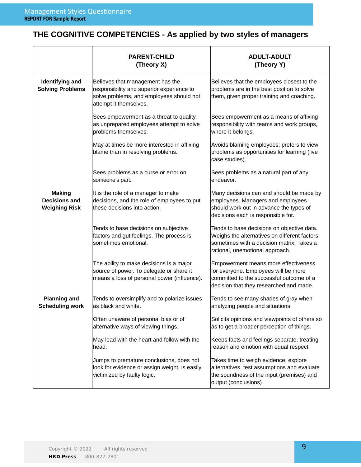# **THE COGNITIVE COMPETENCIES - As applied by two styles of managers**

|                                                               | <b>PARENT-CHILD</b><br>(Theory X)                                                                                                                   | <b>ADULT-ADULT</b><br>(Theory Y)                                                                                                                                            |
|---------------------------------------------------------------|-----------------------------------------------------------------------------------------------------------------------------------------------------|-----------------------------------------------------------------------------------------------------------------------------------------------------------------------------|
| <b>Identifying and</b><br><b>Solving Problems</b>             | Believes that management has the<br>responsibility and superior experience to<br>solve problems, and employees should not<br>attempt it themselves. | Believes that the employees closest to the<br>problems are in the best position to solve<br>them, given proper training and coaching.                                       |
|                                                               | Sees empowerment as a threat to quality,<br>as unprepared employees attempt to solve<br>problems themselves.                                        | Sees empowerment as a means of affixing<br>responsibility with teams and work groups,<br>where it belongs.                                                                  |
|                                                               | May at times be more interested in affixing<br>blame than in resolving problems.                                                                    | Avoids blaming employees; prefers to view<br>problems as opportunities for learning (live<br>case studies).                                                                 |
|                                                               | Sees problems as a curse or error on<br>someone's part.                                                                                             | Sees problems as a natural part of any<br>endeavor.                                                                                                                         |
| <b>Making</b><br><b>Decisions and</b><br><b>Weighing Risk</b> | It is the role of a manager to make<br>decisions, and the role of employees to put<br>these decisions into action.                                  | Many decisions can and should be made by<br>employees. Managers and employees<br>should work out in advance the types of<br>decisions each is responsible for.              |
|                                                               | Tends to base decisions on subjective<br>factors and gut feelings. The process is<br>sometimes emotional.                                           | Tends to base decisions on objective data.<br>Weighs the alternatives on different factors,<br>sometimes with a decision matrix. Takes a<br>rational, unemotional approach. |
|                                                               | The ability to make decisions is a major<br>source of power. To delegate or share it<br>means a loss of personal power (influence).                 | Empowerment means more effectiveness<br>for everyone. Employees will be more<br>committed to the successful outcome of a<br>decision that they researched and made.         |
| <b>Planning and</b><br><b>Scheduling work</b>                 | Tends to oversimplify and to polarize issues<br>as black and white.                                                                                 | Tends to see many shades of gray when<br>analyzing people and situations.                                                                                                   |
|                                                               | Often unaware of personal bias or of<br>alternative ways of viewing things.                                                                         | Solicits opinions and viewpoints of others so<br>as to get a broader perception of things.                                                                                  |
|                                                               | May lead with the heart and follow with the<br>head.                                                                                                | Keeps facts and feelings separate, treating<br>reason and emotion with equal respect.                                                                                       |
|                                                               | Jumps to premature conclusions, does not<br>look for evidence or assign weight, is easily<br>victimized by faulty logic.                            | Takes time to weigh evidence, explore<br>alternatives, test assumptions and evaluate<br>the soundness of the input (premises) and<br>output (conclusions)                   |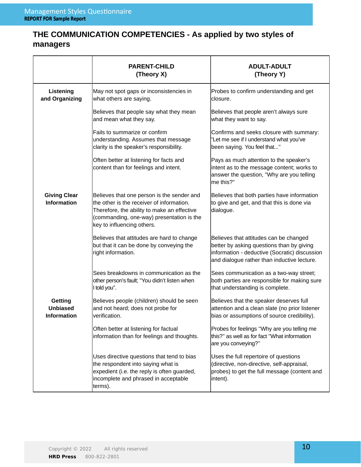# **THE COMMUNICATION COMPETENCIES - As applied by two styles of managers**

|                                                         | <b>PARENT-CHILD</b><br>(Theory X)                                                                                                                                                                                 | <b>ADULT-ADULT</b><br>(Theory Y)                                                                                                                                                    |
|---------------------------------------------------------|-------------------------------------------------------------------------------------------------------------------------------------------------------------------------------------------------------------------|-------------------------------------------------------------------------------------------------------------------------------------------------------------------------------------|
| Listening<br>and Organizing                             | May not spot gaps or inconsistencies in<br>what others are saying.                                                                                                                                                | Probes to confirm understanding and get<br>closure.                                                                                                                                 |
|                                                         | Believes that people say what they mean<br>and mean what they say.                                                                                                                                                | Believes that people aren't always sure<br>what they want to say.                                                                                                                   |
|                                                         | Fails to summarize or confirm<br>understanding. Assumes that message<br>clarity is the speaker's responsibility.                                                                                                  | Confirms and seeks closure with summary:<br>'Let me see if I understand what you've<br>been saying. You feel that"                                                                  |
|                                                         | Often better at listening for facts and<br>content than for feelings and intent.                                                                                                                                  | Pays as much attention to the speaker's<br>intent as to the message content; works to<br>answer the question, "Why are you telling<br>me this?"                                     |
| <b>Giving Clear</b><br><b>Information</b>               | Believes that one person is the sender and<br>the other is the receiver of information.<br>Therefore, the ability to make an effective<br>(commanding, one-way) presentation is the<br>key to influencing others. | Believes that both parties have information<br>to give and get, and that this is done via<br>dialogue.                                                                              |
|                                                         | Believes that attitudes are hard to change<br>but that it can be done by conveying the<br>right information.                                                                                                      | Believes that attitudes can be changed<br>better by asking questions than by giving<br>information - deductive (Socratic) discussion<br>and dialogue rather than inductive lecture. |
|                                                         | Sees breakdowns in communication as the<br>other person's fault; "You didn't listen when<br>I told you".                                                                                                          | Sees communication as a two-way street;<br>both parties are responsible for making sure<br>that understanding is complete.                                                          |
| <b>Getting</b><br><b>Unbiased</b><br><b>Information</b> | Believes people (children) should be seen<br>and not heard; does not probe for<br>verification.                                                                                                                   | Believes that the speaker deserves full<br>attention and a clean slate (no prior listener<br>bias or assumptions of source credibility).                                            |
|                                                         | Often better at listening for factual<br>information than for feelings and thoughts.                                                                                                                              | Probes for feelings "Why are you telling me<br>this?" as well as for fact "What information<br>are you conveying?"                                                                  |
|                                                         | Uses directive questions that tend to bias<br>the respondent into saying what is<br>expedient (i.e. the reply is often guarded,<br>incomplete and phrased in acceptable<br>terms).                                | Uses the full repertoire of questions<br>(directive, non-directive, self-appraisal,<br>probes) to get the full message (content and<br>intent).                                     |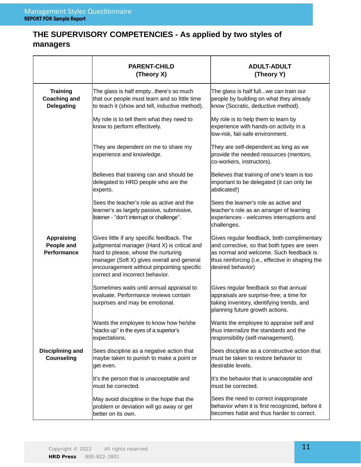# **THE SUPERVISORY COMPETENCIES - As applied by two styles of managers**

|                                                             | <b>PARENT-CHILD</b><br>(Theory X)                                                                                                                                                                                                                               | <b>ADULT-ADULT</b><br>(Theory Y)                                                                                                                                                                              |
|-------------------------------------------------------------|-----------------------------------------------------------------------------------------------------------------------------------------------------------------------------------------------------------------------------------------------------------------|---------------------------------------------------------------------------------------------------------------------------------------------------------------------------------------------------------------|
| <b>Training</b><br><b>Coaching and</b><br><b>Delegating</b> | The glass is half emptythere's so much<br>that our people must learn and so little time<br>to teach it (show and tell, inductive method).                                                                                                                       | The glass is half fullwe can train our<br>people by building on what they already<br>know (Socratic, deductive method).                                                                                       |
|                                                             | My role is to tell them what they need to<br>know to perform effectively.                                                                                                                                                                                       | My role is to help them to learn by<br>experience with hands-on activity in a<br>low-risk, fail-safe environment.                                                                                             |
|                                                             | They are dependent on me to share my<br>experience and knowledge.                                                                                                                                                                                               | They are self-dependent as long as we<br>provide the needed resources (mentors,<br>co-workers, instructors).                                                                                                  |
|                                                             | Believes that training can and should be<br>delegated to HRD people who are the<br>experts.                                                                                                                                                                     | Believes that training of one's team is too<br>important to be delegated (it can only be<br>abdicated!)                                                                                                       |
|                                                             | Sees the teacher's role as active and the<br>learner's as largely passive, submissive,<br>listener - "don't interrupt or challenge".                                                                                                                            | Sees the learner's role as active and<br>teacher's role as an arranger of learning<br>experiences - welcomes interruptions and<br>challenges.                                                                 |
| <b>Appraising</b><br>People and<br><b>Performance</b>       | Gives little if any specific feedback. The<br>judgmental manager (Hard X) is critical and<br>hard to please, whose the nurturing<br>manager (Soft X) gives overall and general<br>encouragement without pinpointing specific<br>correct and incorrect behavior. | Gives regular feedback, both complimentary<br>and corrective, so that both types are seen<br>as normal and welcome. Such feedback is<br>thus reinforcing (i.e., effective in shaping the<br>desired behavior) |
|                                                             | Sometimes waits until annual appraisal to<br>evaluate. Performance reviews contain<br>surprises and may be emotional.                                                                                                                                           | Gives regular feedback so that annual<br>appraisals are surprise-free; a time for<br>taking inventory, identifying trends, and<br>planning future growth actions.                                             |
|                                                             | Wants the employee to know how he/she<br>'stacks up" in the eyes of a superior's<br>expectations.                                                                                                                                                               | Wants the employee to appraise self and<br>thus internalize the standards and the<br>responsibility (self-management).                                                                                        |
| Disciplining and<br><b>Counseling</b>                       | Sees discipline as a negative action that<br>maybe taken to punish to make a point or<br>get even.                                                                                                                                                              | Sees discipline as a constructive action that<br>must be taken to restore behavior to<br>desirable levels.                                                                                                    |
|                                                             | It's the person that is unacceptable and<br>must be corrected.                                                                                                                                                                                                  | It's the behavior that is unacceptable and<br>must be corrected.                                                                                                                                              |
|                                                             | May avoid discipline in the hope that the<br>problem or deviation will go away or get<br>better on its own.                                                                                                                                                     | Sees the need to correct inappropriate<br>behavior when it is first recognized, before it<br>becomes habit and thus harder to correct.                                                                        |